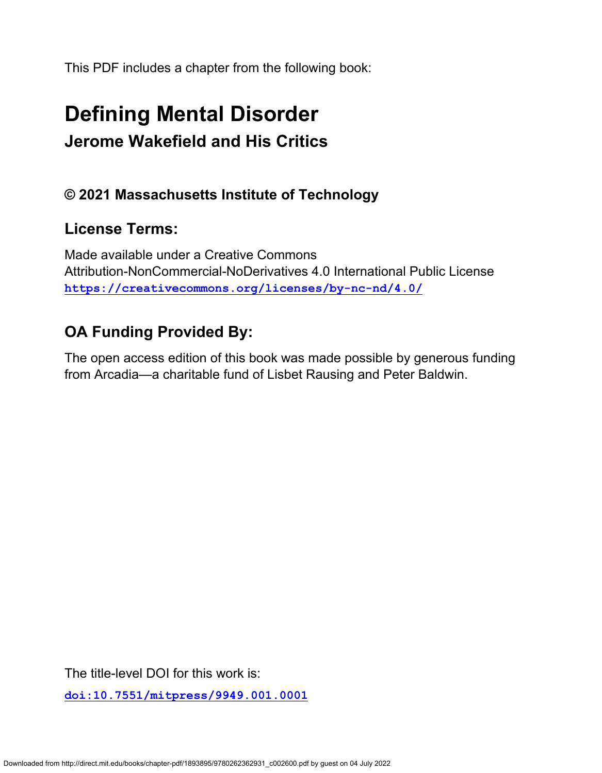This PDF includes a chapter from the following book:

# **Defining Mental Disorder Jerome Wakefield and His Critics**

# **© 2021 Massachusetts Institute of Technology**

# **License Terms:**

Made available under a Creative Commons Attribution-NonCommercial-NoDerivatives 4.0 International Public License **<https://creativecommons.org/licenses/by-nc-nd/4.0/>**

# **OA Funding Provided By:**

The open access edition of this book was made possible by generous funding from Arcadia—a charitable fund of Lisbet Rausing and Peter Baldwin.

The title-level DOI for this work is:

**[doi:10.7551/mitpress/9949.001.0001](https://doi.org/10.7551/mitpress/9949.001.0001)**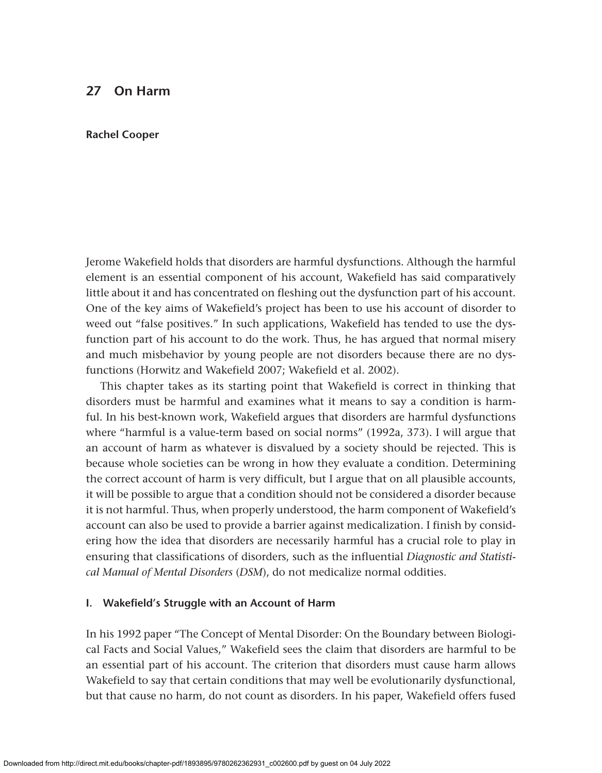#### **Rachel Cooper**

Jerome Wakefield holds that disorders are harmful dysfunctions. Although the harmful element is an essential component of his account, Wakefield has said comparatively little about it and has concentrated on fleshing out the dysfunction part of his account. One of the key aims of Wakefield's project has been to use his account of disorder to weed out "false positives." In such applications, Wakefield has tended to use the dysfunction part of his account to do the work. Thus, he has argued that normal misery and much misbehavior by young people are not disorders because there are no dysfunctions (Horwitz and Wakefield 2007; Wakefield et al. 2002).

This chapter takes as its starting point that Wakefield is correct in thinking that disorders must be harmful and examines what it means to say a condition is harmful. In his best-known work, Wakefield argues that disorders are harmful dysfunctions where "harmful is a value-term based on social norms" (1992a, 373). I will argue that an account of harm as whatever is disvalued by a society should be rejected. This is because whole societies can be wrong in how they evaluate a condition. Determining the correct account of harm is very difficult, but I argue that on all plausible accounts, it will be possible to argue that a condition should not be considered a disorder because it is not harmful. Thus, when properly understood, the harm component of Wakefield's account can also be used to provide a barrier against medicalization. I finish by considering how the idea that disorders are necessarily harmful has a crucial role to play in ensuring that classifications of disorders, such as the influential *Diagnostic and Statistical Manual of Mental Disorders* (*DSM*), do not medicalize normal oddities.

#### **I. Wakefield's Struggle with an Account of Harm**

In his 1992 paper "The Concept of Mental Disorder: On the Boundary between Biological Facts and Social Values," Wakefield sees the claim that disorders are harmful to be an essential part of his account. The criterion that disorders must cause harm allows Wakefield to say that certain conditions that may well be evolutionarily dysfunctional, but that cause no harm, do not count as disorders. In his paper, Wakefield offers fused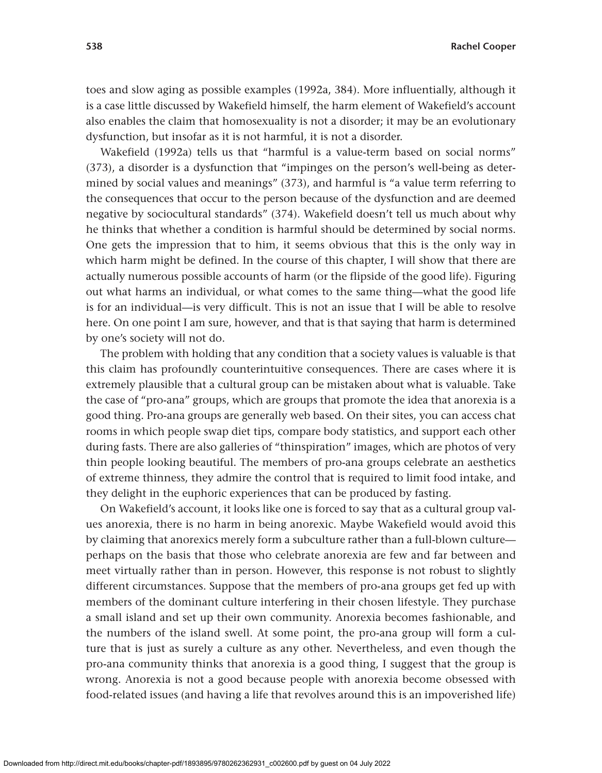toes and slow aging as possible examples (1992a, 384). More influentially, although it is a case little discussed by Wakefield himself, the harm element of Wakefield's account also enables the claim that homosexuality is not a disorder; it may be an evolutionary dysfunction, but insofar as it is not harmful, it is not a disorder.

Wakefield (1992a) tells us that "harmful is a value-term based on social norms" (373), a disorder is a dysfunction that "impinges on the person's well-being as determined by social values and meanings" (373), and harmful is "a value term referring to the consequences that occur to the person because of the dysfunction and are deemed negative by sociocultural standards" (374). Wakefield doesn't tell us much about why he thinks that whether a condition is harmful should be determined by social norms. One gets the impression that to him, it seems obvious that this is the only way in which harm might be defined. In the course of this chapter, I will show that there are actually numerous possible accounts of harm (or the flipside of the good life). Figuring out what harms an individual, or what comes to the same thing—what the good life is for an individual—is very difficult. This is not an issue that I will be able to resolve here. On one point I am sure, however, and that is that saying that harm is determined by one's society will not do.

The problem with holding that any condition that a society values is valuable is that this claim has profoundly counterintuitive consequences. There are cases where it is extremely plausible that a cultural group can be mistaken about what is valuable. Take the case of "pro-ana" groups, which are groups that promote the idea that anorexia is a good thing. Pro-ana groups are generally web based. On their sites, you can access chat rooms in which people swap diet tips, compare body statistics, and support each other during fasts. There are also galleries of "thinspiration" images, which are photos of very thin people looking beautiful. The members of pro-ana groups celebrate an aesthetics of extreme thinness, they admire the control that is required to limit food intake, and they delight in the euphoric experiences that can be produced by fasting.

On Wakefield's account, it looks like one is forced to say that as a cultural group values anorexia, there is no harm in being anorexic. Maybe Wakefield would avoid this by claiming that anorexics merely form a subculture rather than a full-blown culture perhaps on the basis that those who celebrate anorexia are few and far between and meet virtually rather than in person. However, this response is not robust to slightly different circumstances. Suppose that the members of pro-ana groups get fed up with members of the dominant culture interfering in their chosen lifestyle. They purchase a small island and set up their own community. Anorexia becomes fashionable, and the numbers of the island swell. At some point, the pro-ana group will form a culture that is just as surely a culture as any other. Nevertheless, and even though the pro-ana community thinks that anorexia is a good thing, I suggest that the group is wrong. Anorexia is not a good because people with anorexia become obsessed with food-related issues (and having a life that revolves around this is an impoverished life)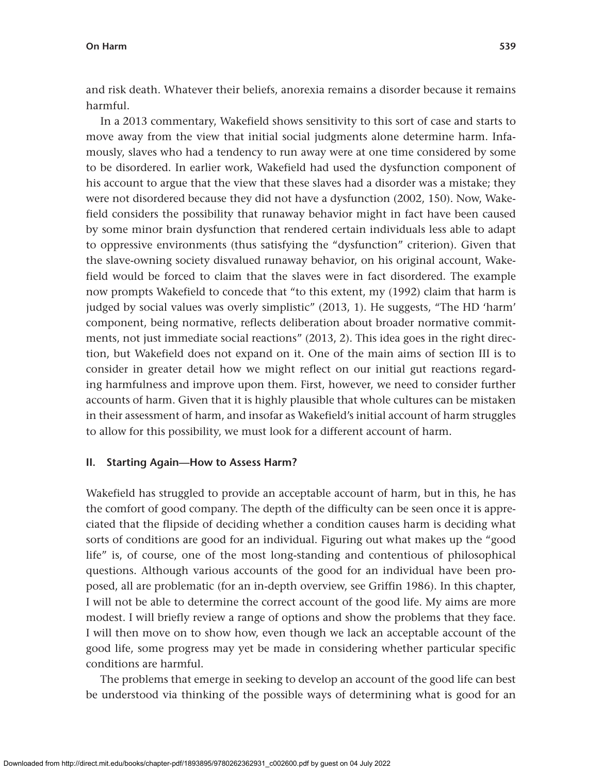and risk death. Whatever their beliefs, anorexia remains a disorder because it remains harmful.

In a 2013 commentary, Wakefield shows sensitivity to this sort of case and starts to move away from the view that initial social judgments alone determine harm. Infamously, slaves who had a tendency to run away were at one time considered by some to be disordered. In earlier work, Wakefield had used the dysfunction component of his account to argue that the view that these slaves had a disorder was a mistake; they were not disordered because they did not have a dysfunction (2002, 150). Now, Wakefield considers the possibility that runaway behavior might in fact have been caused by some minor brain dysfunction that rendered certain individuals less able to adapt to oppressive environments (thus satisfying the "dysfunction" criterion). Given that the slave-owning society disvalued runaway behavior, on his original account, Wakefield would be forced to claim that the slaves were in fact disordered. The example now prompts Wakefield to concede that "to this extent, my (1992) claim that harm is judged by social values was overly simplistic" (2013, 1). He suggests, "The HD 'harm' component, being normative, reflects deliberation about broader normative commitments, not just immediate social reactions" (2013, 2). This idea goes in the right direction, but Wakefield does not expand on it. One of the main aims of section III is to consider in greater detail how we might reflect on our initial gut reactions regarding harmfulness and improve upon them. First, however, we need to consider further accounts of harm. Given that it is highly plausible that whole cultures can be mistaken in their assessment of harm, and insofar as Wakefield's initial account of harm struggles to allow for this possibility, we must look for a different account of harm.

### **II. Starting Again—How to Assess Harm?**

Wakefield has struggled to provide an acceptable account of harm, but in this, he has the comfort of good company. The depth of the difficulty can be seen once it is appreciated that the flipside of deciding whether a condition causes harm is deciding what sorts of conditions are good for an individual. Figuring out what makes up the "good life" is, of course, one of the most long-standing and contentious of philosophical questions. Although various accounts of the good for an individual have been proposed, all are problematic (for an in-depth overview, see Griffin 1986). In this chapter, I will not be able to determine the correct account of the good life. My aims are more modest. I will briefly review a range of options and show the problems that they face. I will then move on to show how, even though we lack an acceptable account of the good life, some progress may yet be made in considering whether particular specific conditions are harmful.

The problems that emerge in seeking to develop an account of the good life can best be understood via thinking of the possible ways of determining what is good for an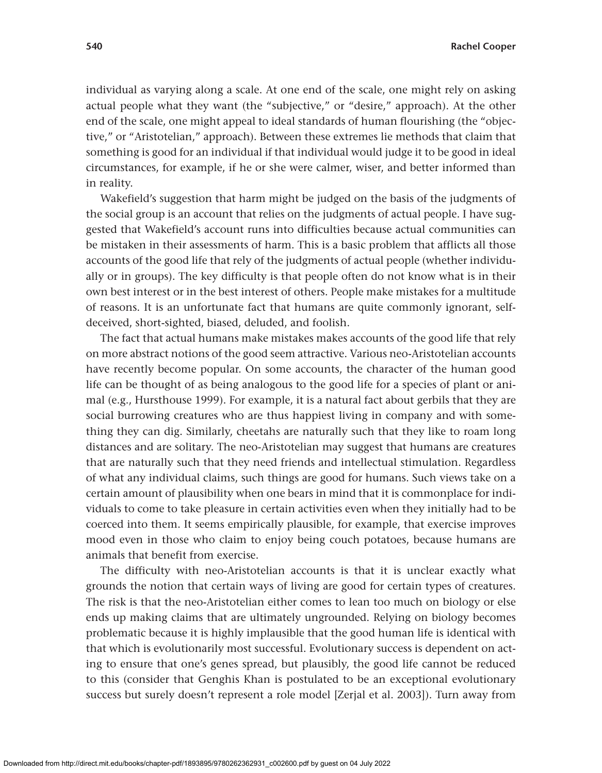individual as varying along a scale. At one end of the scale, one might rely on asking actual people what they want (the "subjective," or "desire," approach). At the other end of the scale, one might appeal to ideal standards of human flourishing (the "objective," or "Aristotelian," approach). Between these extremes lie methods that claim that something is good for an individual if that individual would judge it to be good in ideal circumstances, for example, if he or she were calmer, wiser, and better informed than in reality.

Wakefield's suggestion that harm might be judged on the basis of the judgments of the social group is an account that relies on the judgments of actual people. I have suggested that Wakefield's account runs into difficulties because actual communities can be mistaken in their assessments of harm. This is a basic problem that afflicts all those accounts of the good life that rely of the judgments of actual people (whether individually or in groups). The key difficulty is that people often do not know what is in their own best interest or in the best interest of others. People make mistakes for a multitude of reasons. It is an unfortunate fact that humans are quite commonly ignorant, selfdeceived, short-sighted, biased, deluded, and foolish.

The fact that actual humans make mistakes makes accounts of the good life that rely on more abstract notions of the good seem attractive. Various neo-Aristotelian accounts have recently become popular. On some accounts, the character of the human good life can be thought of as being analogous to the good life for a species of plant or animal (e.g., Hursthouse 1999). For example, it is a natural fact about gerbils that they are social burrowing creatures who are thus happiest living in company and with something they can dig. Similarly, cheetahs are naturally such that they like to roam long distances and are solitary. The neo-Aristotelian may suggest that humans are creatures that are naturally such that they need friends and intellectual stimulation. Regardless of what any individual claims, such things are good for humans. Such views take on a certain amount of plausibility when one bears in mind that it is commonplace for individuals to come to take pleasure in certain activities even when they initially had to be coerced into them. It seems empirically plausible, for example, that exercise improves mood even in those who claim to enjoy being couch potatoes, because humans are animals that benefit from exercise.

The difficulty with neo-Aristotelian accounts is that it is unclear exactly what grounds the notion that certain ways of living are good for certain types of creatures. The risk is that the neo-Aristotelian either comes to lean too much on biology or else ends up making claims that are ultimately ungrounded. Relying on biology becomes problematic because it is highly implausible that the good human life is identical with that which is evolutionarily most successful. Evolutionary success is dependent on acting to ensure that one's genes spread, but plausibly, the good life cannot be reduced to this (consider that Genghis Khan is postulated to be an exceptional evolutionary success but surely doesn't represent a role model [Zerjal et al. 2003]). Turn away from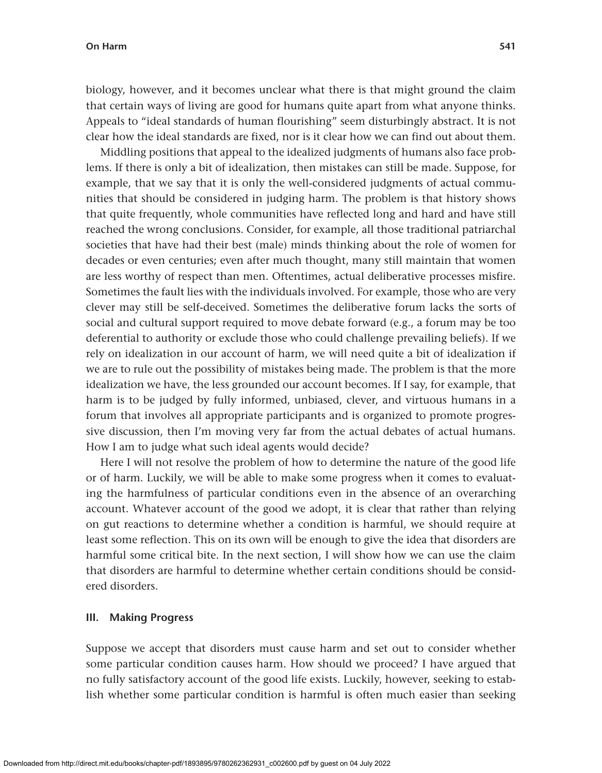biology, however, and it becomes unclear what there is that might ground the claim that certain ways of living are good for humans quite apart from what anyone thinks. Appeals to "ideal standards of human flourishing" seem disturbingly abstract. It is not clear how the ideal standards are fixed, nor is it clear how we can find out about them.

Middling positions that appeal to the idealized judgments of humans also face problems. If there is only a bit of idealization, then mistakes can still be made. Suppose, for example, that we say that it is only the well-considered judgments of actual communities that should be considered in judging harm. The problem is that history shows that quite frequently, whole communities have reflected long and hard and have still reached the wrong conclusions. Consider, for example, all those traditional patriarchal societies that have had their best (male) minds thinking about the role of women for decades or even centuries; even after much thought, many still maintain that women are less worthy of respect than men. Oftentimes, actual deliberative processes misfire. Sometimes the fault lies with the individuals involved. For example, those who are very clever may still be self-deceived. Sometimes the deliberative forum lacks the sorts of social and cultural support required to move debate forward (e.g., a forum may be too deferential to authority or exclude those who could challenge prevailing beliefs). If we rely on idealization in our account of harm, we will need quite a bit of idealization if we are to rule out the possibility of mistakes being made. The problem is that the more idealization we have, the less grounded our account becomes. If I say, for example, that harm is to be judged by fully informed, unbiased, clever, and virtuous humans in a forum that involves all appropriate participants and is organized to promote progressive discussion, then I'm moving very far from the actual debates of actual humans. How I am to judge what such ideal agents would decide?

Here I will not resolve the problem of how to determine the nature of the good life or of harm. Luckily, we will be able to make some progress when it comes to evaluating the harmfulness of particular conditions even in the absence of an overarching account. Whatever account of the good we adopt, it is clear that rather than relying on gut reactions to determine whether a condition is harmful, we should require at least some reflection. This on its own will be enough to give the idea that disorders are harmful some critical bite. In the next section, I will show how we can use the claim that disorders are harmful to determine whether certain conditions should be considered disorders.

# **III. Making Progress**

Suppose we accept that disorders must cause harm and set out to consider whether some particular condition causes harm. How should we proceed? I have argued that no fully satisfactory account of the good life exists. Luckily, however, seeking to establish whether some particular condition is harmful is often much easier than seeking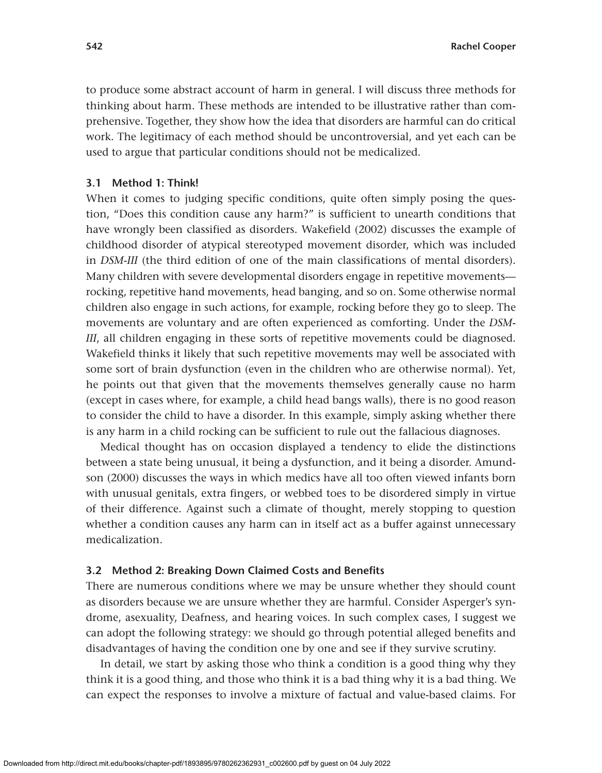to produce some abstract account of harm in general. I will discuss three methods for thinking about harm. These methods are intended to be illustrative rather than comprehensive. Together, they show how the idea that disorders are harmful can do critical work. The legitimacy of each method should be uncontroversial, and yet each can be used to argue that particular conditions should not be medicalized.

#### **3.1 Method 1: Think!**

When it comes to judging specific conditions, quite often simply posing the question, "Does this condition cause any harm?" is sufficient to unearth conditions that have wrongly been classified as disorders. Wakefield (2002) discusses the example of childhood disorder of atypical stereotyped movement disorder, which was included in *DSM-III* (the third edition of one of the main classifications of mental disorders). Many children with severe developmental disorders engage in repetitive movements rocking, repetitive hand movements, head banging, and so on. Some otherwise normal children also engage in such actions, for example, rocking before they go to sleep. The movements are voluntary and are often experienced as comforting. Under the *DSM-III*, all children engaging in these sorts of repetitive movements could be diagnosed. Wakefield thinks it likely that such repetitive movements may well be associated with some sort of brain dysfunction (even in the children who are otherwise normal). Yet, he points out that given that the movements themselves generally cause no harm (except in cases where, for example, a child head bangs walls), there is no good reason to consider the child to have a disorder. In this example, simply asking whether there is any harm in a child rocking can be sufficient to rule out the fallacious diagnoses.

Medical thought has on occasion displayed a tendency to elide the distinctions between a state being unusual, it being a dysfunction, and it being a disorder. Amundson (2000) discusses the ways in which medics have all too often viewed infants born with unusual genitals, extra fingers, or webbed toes to be disordered simply in virtue of their difference. Against such a climate of thought, merely stopping to question whether a condition causes any harm can in itself act as a buffer against unnecessary medicalization.

### **3.2 Method 2: Breaking Down Claimed Costs and Benefits**

There are numerous conditions where we may be unsure whether they should count as disorders because we are unsure whether they are harmful. Consider Asperger's syndrome, asexuality, Deafness, and hearing voices. In such complex cases, I suggest we can adopt the following strategy: we should go through potential alleged benefits and disadvantages of having the condition one by one and see if they survive scrutiny.

In detail, we start by asking those who think a condition is a good thing why they think it is a good thing, and those who think it is a bad thing why it is a bad thing. We can expect the responses to involve a mixture of factual and value-based claims. For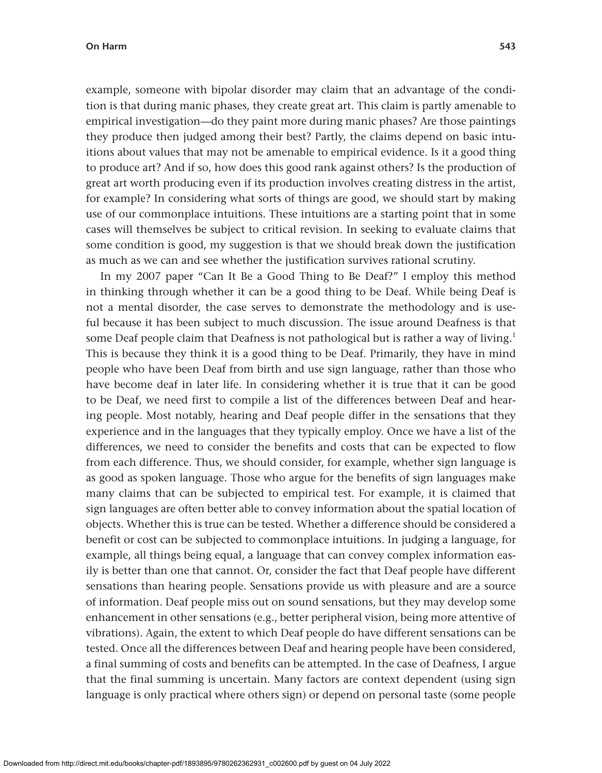example, someone with bipolar disorder may claim that an advantage of the condition is that during manic phases, they create great art. This claim is partly amenable to empirical investigation—do they paint more during manic phases? Are those paintings they produce then judged among their best? Partly, the claims depend on basic intuitions about values that may not be amenable to empirical evidence. Is it a good thing to produce art? And if so, how does this good rank against others? Is the production of great art worth producing even if its production involves creating distress in the artist, for example? In considering what sorts of things are good, we should start by making use of our commonplace intuitions. These intuitions are a starting point that in some cases will themselves be subject to critical revision. In seeking to evaluate claims that some condition is good, my suggestion is that we should break down the justification as much as we can and see whether the justification survives rational scrutiny.

In my 2007 paper "Can It Be a Good Thing to Be Deaf?" I employ this method in thinking through whether it can be a good thing to be Deaf. While being Deaf is not a mental disorder, the case serves to demonstrate the methodology and is useful because it has been subject to much discussion. The issue around Deafness is that some Deaf people claim that Deafness is not pathological but is rather a way of living.<sup>1</sup> This is because they think it is a good thing to be Deaf. Primarily, they have in mind people who have been Deaf from birth and use sign language, rather than those who have become deaf in later life. In considering whether it is true that it can be good to be Deaf, we need first to compile a list of the differences between Deaf and hearing people. Most notably, hearing and Deaf people differ in the sensations that they experience and in the languages that they typically employ. Once we have a list of the differences, we need to consider the benefits and costs that can be expected to flow from each difference. Thus, we should consider, for example, whether sign language is as good as spoken language. Those who argue for the benefits of sign languages make many claims that can be subjected to empirical test. For example, it is claimed that sign languages are often better able to convey information about the spatial location of objects. Whether this is true can be tested. Whether a difference should be considered a benefit or cost can be subjected to commonplace intuitions. In judging a language, for example, all things being equal, a language that can convey complex information easily is better than one that cannot. Or, consider the fact that Deaf people have different sensations than hearing people. Sensations provide us with pleasure and are a source of information. Deaf people miss out on sound sensations, but they may develop some enhancement in other sensations (e.g., better peripheral vision, being more attentive of vibrations). Again, the extent to which Deaf people do have different sensations can be tested. Once all the differences between Deaf and hearing people have been considered, a final summing of costs and benefits can be attempted. In the case of Deafness, I argue that the final summing is uncertain. Many factors are context dependent (using sign language is only practical where others sign) or depend on personal taste (some people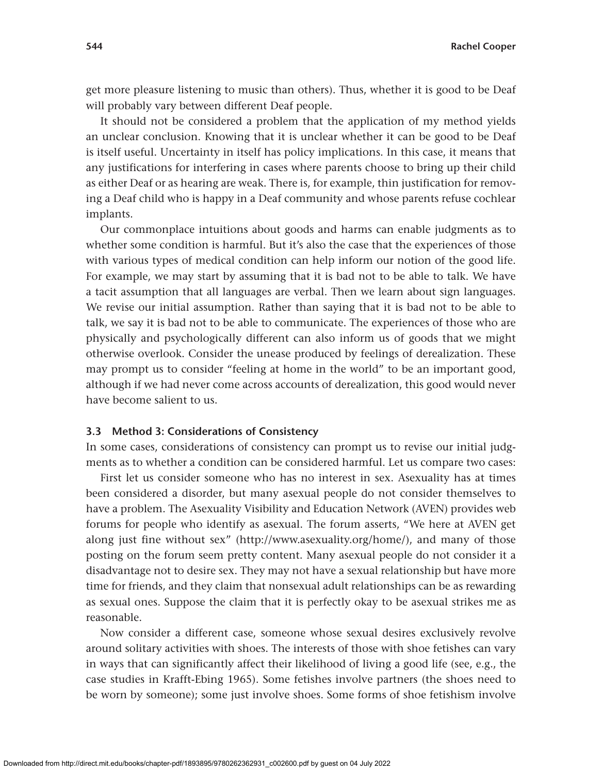**544 Rachel Cooper**

get more pleasure listening to music than others). Thus, whether it is good to be Deaf will probably vary between different Deaf people.

It should not be considered a problem that the application of my method yields an unclear conclusion. Knowing that it is unclear whether it can be good to be Deaf is itself useful. Uncertainty in itself has policy implications. In this case, it means that any justifications for interfering in cases where parents choose to bring up their child as either Deaf or as hearing are weak. There is, for example, thin justification for removing a Deaf child who is happy in a Deaf community and whose parents refuse cochlear implants.

Our commonplace intuitions about goods and harms can enable judgments as to whether some condition is harmful. But it's also the case that the experiences of those with various types of medical condition can help inform our notion of the good life. For example, we may start by assuming that it is bad not to be able to talk. We have a tacit assumption that all languages are verbal. Then we learn about sign languages. We revise our initial assumption. Rather than saying that it is bad not to be able to talk, we say it is bad not to be able to communicate. The experiences of those who are physically and psychologically different can also inform us of goods that we might otherwise overlook. Consider the unease produced by feelings of derealization. These may prompt us to consider "feeling at home in the world" to be an important good, although if we had never come across accounts of derealization, this good would never have become salient to us.

### **3.3 Method 3: Considerations of Consistency**

In some cases, considerations of consistency can prompt us to revise our initial judgments as to whether a condition can be considered harmful. Let us compare two cases:

First let us consider someone who has no interest in sex. Asexuality has at times been considered a disorder, but many asexual people do not consider themselves to have a problem. The Asexuality Visibility and Education Network (AVEN) provides web forums for people who identify as asexual. The forum asserts, "We here at AVEN get along just fine without sex" ([http://www.asexuality.org/home/\)](http://www.asexuality.org/home/), and many of those posting on the forum seem pretty content. Many asexual people do not consider it a disadvantage not to desire sex. They may not have a sexual relationship but have more time for friends, and they claim that nonsexual adult relationships can be as rewarding as sexual ones. Suppose the claim that it is perfectly okay to be asexual strikes me as reasonable.

Now consider a different case, someone whose sexual desires exclusively revolve around solitary activities with shoes. The interests of those with shoe fetishes can vary in ways that can significantly affect their likelihood of living a good life (see, e.g., the case studies in Krafft-Ebing 1965). Some fetishes involve partners (the shoes need to be worn by someone); some just involve shoes. Some forms of shoe fetishism involve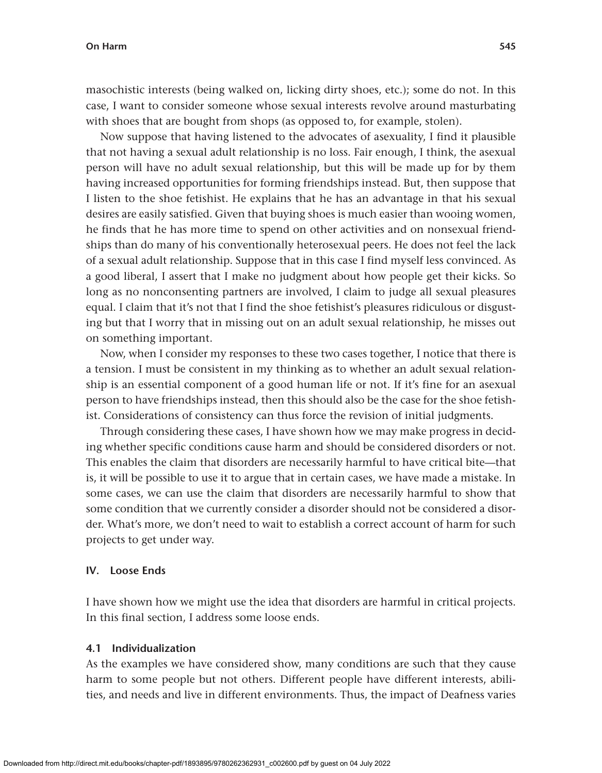masochistic interests (being walked on, licking dirty shoes, etc.); some do not. In this case, I want to consider someone whose sexual interests revolve around masturbating with shoes that are bought from shops (as opposed to, for example, stolen).

Now suppose that having listened to the advocates of asexuality, I find it plausible that not having a sexual adult relationship is no loss. Fair enough, I think, the asexual person will have no adult sexual relationship, but this will be made up for by them having increased opportunities for forming friendships instead. But, then suppose that I listen to the shoe fetishist. He explains that he has an advantage in that his sexual desires are easily satisfied. Given that buying shoes is much easier than wooing women, he finds that he has more time to spend on other activities and on nonsexual friendships than do many of his conventionally heterosexual peers. He does not feel the lack of a sexual adult relationship. Suppose that in this case I find myself less convinced. As a good liberal, I assert that I make no judgment about how people get their kicks. So long as no nonconsenting partners are involved, I claim to judge all sexual pleasures equal. I claim that it's not that I find the shoe fetishist's pleasures ridiculous or disgusting but that I worry that in missing out on an adult sexual relationship, he misses out on something important.

Now, when I consider my responses to these two cases together, I notice that there is a tension. I must be consistent in my thinking as to whether an adult sexual relationship is an essential component of a good human life or not. If it's fine for an asexual person to have friendships instead, then this should also be the case for the shoe fetishist. Considerations of consistency can thus force the revision of initial judgments.

Through considering these cases, I have shown how we may make progress in deciding whether specific conditions cause harm and should be considered disorders or not. This enables the claim that disorders are necessarily harmful to have critical bite—that is, it will be possible to use it to argue that in certain cases, we have made a mistake. In some cases, we can use the claim that disorders are necessarily harmful to show that some condition that we currently consider a disorder should not be considered a disorder. What's more, we don't need to wait to establish a correct account of harm for such projects to get under way.

# **IV. Loose Ends**

I have shown how we might use the idea that disorders are harmful in critical projects. In this final section, I address some loose ends.

# **4.1 Individualization**

As the examples we have considered show, many conditions are such that they cause harm to some people but not others. Different people have different interests, abilities, and needs and live in different environments. Thus, the impact of Deafness varies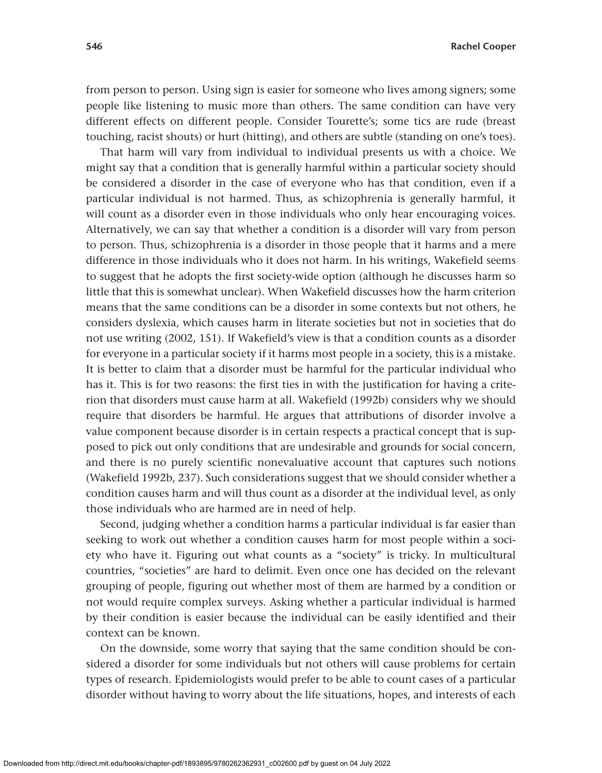from person to person. Using sign is easier for someone who lives among signers; some people like listening to music more than others. The same condition can have very different effects on different people. Consider Tourette's; some tics are rude (breast touching, racist shouts) or hurt (hitting), and others are subtle (standing on one's toes).

That harm will vary from individual to individual presents us with a choice. We might say that a condition that is generally harmful within a particular society should be considered a disorder in the case of everyone who has that condition, even if a particular individual is not harmed. Thus, as schizophrenia is generally harmful, it will count as a disorder even in those individuals who only hear encouraging voices. Alternatively, we can say that whether a condition is a disorder will vary from person to person. Thus, schizophrenia is a disorder in those people that it harms and a mere difference in those individuals who it does not harm. In his writings, Wakefield seems to suggest that he adopts the first society-wide option (although he discusses harm so little that this is somewhat unclear). When Wakefield discusses how the harm criterion means that the same conditions can be a disorder in some contexts but not others, he considers dyslexia, which causes harm in literate societies but not in societies that do not use writing (2002, 151). If Wakefield's view is that a condition counts as a disorder for everyone in a particular society if it harms most people in a society, this is a mistake. It is better to claim that a disorder must be harmful for the particular individual who has it. This is for two reasons: the first ties in with the justification for having a criterion that disorders must cause harm at all. Wakefield (1992b) considers why we should require that disorders be harmful. He argues that attributions of disorder involve a value component because disorder is in certain respects a practical concept that is supposed to pick out only conditions that are undesirable and grounds for social concern, and there is no purely scientific nonevaluative account that captures such notions (Wakefield 1992b, 237). Such considerations suggest that we should consider whether a condition causes harm and will thus count as a disorder at the individual level, as only those individuals who are harmed are in need of help.

Second, judging whether a condition harms a particular individual is far easier than seeking to work out whether a condition causes harm for most people within a society who have it. Figuring out what counts as a "society" is tricky. In multicultural countries, "societies" are hard to delimit. Even once one has decided on the relevant grouping of people, figuring out whether most of them are harmed by a condition or not would require complex surveys. Asking whether a particular individual is harmed by their condition is easier because the individual can be easily identified and their context can be known.

On the downside, some worry that saying that the same condition should be considered a disorder for some individuals but not others will cause problems for certain types of research. Epidemiologists would prefer to be able to count cases of a particular disorder without having to worry about the life situations, hopes, and interests of each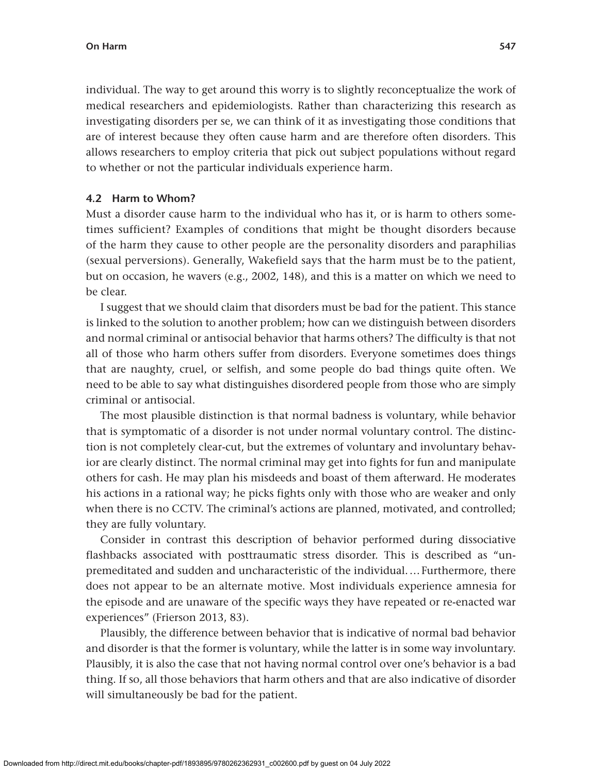individual. The way to get around this worry is to slightly reconceptualize the work of medical researchers and epidemiologists. Rather than characterizing this research as investigating disorders per se, we can think of it as investigating those conditions that are of interest because they often cause harm and are therefore often disorders. This allows researchers to employ criteria that pick out subject populations without regard to whether or not the particular individuals experience harm.

# **4.2 Harm to Whom?**

Must a disorder cause harm to the individual who has it, or is harm to others sometimes sufficient? Examples of conditions that might be thought disorders because of the harm they cause to other people are the personality disorders and paraphilias (sexual perversions). Generally, Wakefield says that the harm must be to the patient, but on occasion, he wavers (e.g., 2002, 148), and this is a matter on which we need to be clear.

I suggest that we should claim that disorders must be bad for the patient. This stance is linked to the solution to another problem; how can we distinguish between disorders and normal criminal or antisocial behavior that harms others? The difficulty is that not all of those who harm others suffer from disorders. Everyone sometimes does things that are naughty, cruel, or selfish, and some people do bad things quite often. We need to be able to say what distinguishes disordered people from those who are simply criminal or antisocial.

The most plausible distinction is that normal badness is voluntary, while behavior that is symptomatic of a disorder is not under normal voluntary control. The distinction is not completely clear-cut, but the extremes of voluntary and involuntary behavior are clearly distinct. The normal criminal may get into fights for fun and manipulate others for cash. He may plan his misdeeds and boast of them afterward. He moderates his actions in a rational way; he picks fights only with those who are weaker and only when there is no CCTV. The criminal's actions are planned, motivated, and controlled; they are fully voluntary.

Consider in contrast this description of behavior performed during dissociative flashbacks associated with posttraumatic stress disorder. This is described as "unpremeditated and sudden and uncharacteristic of the individual.…Furthermore, there does not appear to be an alternate motive. Most individuals experience amnesia for the episode and are unaware of the specific ways they have repeated or re-enacted war experiences" (Frierson 2013, 83).

Plausibly, the difference between behavior that is indicative of normal bad behavior and disorder is that the former is voluntary, while the latter is in some way involuntary. Plausibly, it is also the case that not having normal control over one's behavior is a bad thing. If so, all those behaviors that harm others and that are also indicative of disorder will simultaneously be bad for the patient.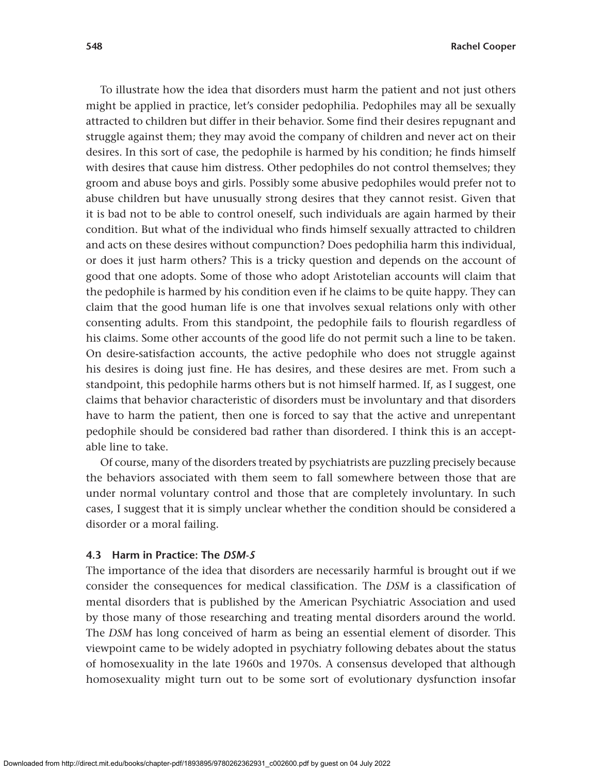**548 Rachel Cooper**

To illustrate how the idea that disorders must harm the patient and not just others might be applied in practice, let's consider pedophilia. Pedophiles may all be sexually attracted to children but differ in their behavior. Some find their desires repugnant and struggle against them; they may avoid the company of children and never act on their desires. In this sort of case, the pedophile is harmed by his condition; he finds himself with desires that cause him distress. Other pedophiles do not control themselves; they groom and abuse boys and girls. Possibly some abusive pedophiles would prefer not to abuse children but have unusually strong desires that they cannot resist. Given that it is bad not to be able to control oneself, such individuals are again harmed by their condition. But what of the individual who finds himself sexually attracted to children and acts on these desires without compunction? Does pedophilia harm this individual, or does it just harm others? This is a tricky question and depends on the account of good that one adopts. Some of those who adopt Aristotelian accounts will claim that the pedophile is harmed by his condition even if he claims to be quite happy. They can claim that the good human life is one that involves sexual relations only with other consenting adults. From this standpoint, the pedophile fails to flourish regardless of his claims. Some other accounts of the good life do not permit such a line to be taken. On desire-satisfaction accounts, the active pedophile who does not struggle against his desires is doing just fine. He has desires, and these desires are met. From such a standpoint, this pedophile harms others but is not himself harmed. If, as I suggest, one claims that behavior characteristic of disorders must be involuntary and that disorders have to harm the patient, then one is forced to say that the active and unrepentant pedophile should be considered bad rather than disordered. I think this is an acceptable line to take.

Of course, many of the disorders treated by psychiatrists are puzzling precisely because the behaviors associated with them seem to fall somewhere between those that are under normal voluntary control and those that are completely involuntary. In such cases, I suggest that it is simply unclear whether the condition should be considered a disorder or a moral failing.

#### **4.3 Harm in Practice: The** *DSM-5*

The importance of the idea that disorders are necessarily harmful is brought out if we consider the consequences for medical classification. The *DSM* is a classification of mental disorders that is published by the American Psychiatric Association and used by those many of those researching and treating mental disorders around the world. The *DSM* has long conceived of harm as being an essential element of disorder. This viewpoint came to be widely adopted in psychiatry following debates about the status of homosexuality in the late 1960s and 1970s. A consensus developed that although homosexuality might turn out to be some sort of evolutionary dysfunction insofar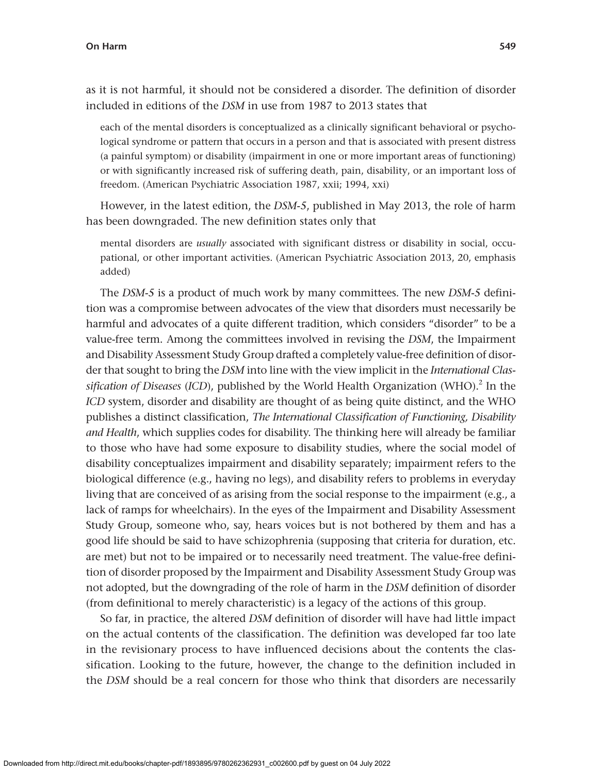as it is not harmful, it should not be considered a disorder. The definition of disorder included in editions of the *DSM* in use from 1987 to 2013 states that

each of the mental disorders is conceptualized as a clinically significant behavioral or psychological syndrome or pattern that occurs in a person and that is associated with present distress (a painful symptom) or disability (impairment in one or more important areas of functioning) or with significantly increased risk of suffering death, pain, disability, or an important loss of freedom. (American Psychiatric Association 1987, xxii; 1994, xxi)

However, in the latest edition, the *DSM-5*, published in May 2013, the role of harm has been downgraded. The new definition states only that

mental disorders are *usually* associated with significant distress or disability in social, occupational, or other important activities. (American Psychiatric Association 2013, 20, emphasis added)

The *DSM-5* is a product of much work by many committees. The new *DSM-5* definition was a compromise between advocates of the view that disorders must necessarily be harmful and advocates of a quite different tradition, which considers "disorder" to be a value-free term. Among the committees involved in revising the *DSM*, the Impairment and Disability Assessment Study Group drafted a completely value-free definition of disorder that sought to bring the *DSM* into line with the view implicit in the *International Clas*sification of Diseases (ICD), published by the World Health Organization (WHO).<sup>2</sup> In the *ICD* system, disorder and disability are thought of as being quite distinct, and the WHO publishes a distinct classification, *The International Classification of Functioning, Disability and Health*, which supplies codes for disability. The thinking here will already be familiar to those who have had some exposure to disability studies, where the social model of disability conceptualizes impairment and disability separately; impairment refers to the biological difference (e.g., having no legs), and disability refers to problems in everyday living that are conceived of as arising from the social response to the impairment (e.g., a lack of ramps for wheelchairs). In the eyes of the Impairment and Disability Assessment Study Group, someone who, say, hears voices but is not bothered by them and has a good life should be said to have schizophrenia (supposing that criteria for duration, etc. are met) but not to be impaired or to necessarily need treatment. The value-free definition of disorder proposed by the Impairment and Disability Assessment Study Group was not adopted, but the downgrading of the role of harm in the *DSM* definition of disorder (from definitional to merely characteristic) is a legacy of the actions of this group.

So far, in practice, the altered *DSM* definition of disorder will have had little impact on the actual contents of the classification. The definition was developed far too late in the revisionary process to have influenced decisions about the contents the classification. Looking to the future, however, the change to the definition included in the *DSM* should be a real concern for those who think that disorders are necessarily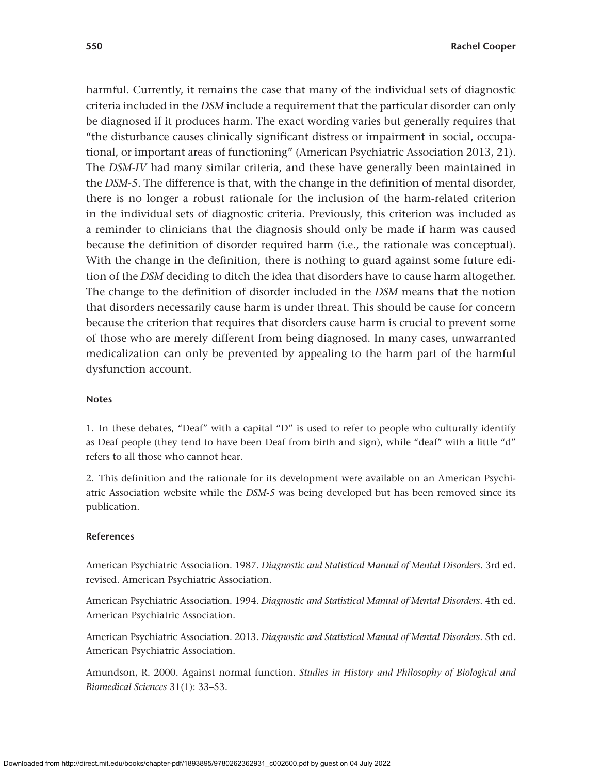**550 Rachel Cooper**

harmful. Currently, it remains the case that many of the individual sets of diagnostic criteria included in the *DSM* include a requirement that the particular disorder can only be diagnosed if it produces harm. The exact wording varies but generally requires that "the disturbance causes clinically significant distress or impairment in social, occupational, or important areas of functioning" (American Psychiatric Association 2013, 21). The *DSM-IV* had many similar criteria, and these have generally been maintained in the *DSM-5*. The difference is that, with the change in the definition of mental disorder, there is no longer a robust rationale for the inclusion of the harm-related criterion in the individual sets of diagnostic criteria. Previously, this criterion was included as a reminder to clinicians that the diagnosis should only be made if harm was caused because the definition of disorder required harm (i.e., the rationale was conceptual). With the change in the definition, there is nothing to guard against some future edition of the *DSM* deciding to ditch the idea that disorders have to cause harm altogether. The change to the definition of disorder included in the *DSM* means that the notion that disorders necessarily cause harm is under threat. This should be cause for concern because the criterion that requires that disorders cause harm is crucial to prevent some of those who are merely different from being diagnosed. In many cases, unwarranted

medicalization can only be prevented by appealing to the harm part of the harmful dysfunction account.

#### **Notes**

1. In these debates, "Deaf" with a capital "D" is used to refer to people who culturally identify as Deaf people (they tend to have been Deaf from birth and sign), while "deaf" with a little "d" refers to all those who cannot hear.

2. This definition and the rationale for its development were available on an American Psychiatric Association website while the *DSM-5* was being developed but has been removed since its publication.

#### **References**

American Psychiatric Association. 1987. *Diagnostic and Statistical Manual of Mental Disorders*. 3rd ed. revised. American Psychiatric Association.

American Psychiatric Association. 1994. *Diagnostic and Statistical Manual of Mental Disorders*. 4th ed. American Psychiatric Association.

American Psychiatric Association. 2013. *Diagnostic and Statistical Manual of Mental Disorders*. 5th ed. American Psychiatric Association.

Amundson, R. 2000. Against normal function. *Studies in History and Philosophy of Biological and Biomedical Sciences* 31(1): 33–53.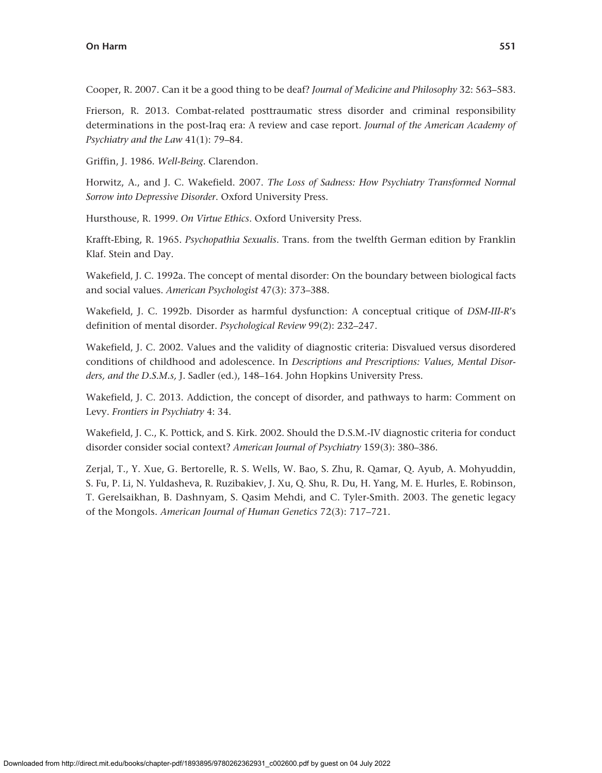Cooper, R. 2007. Can it be a good thing to be deaf? *Journal of Medicine and Philosophy* 32: 563–583.

Frierson, R. 2013. Combat-related posttraumatic stress disorder and criminal responsibility determinations in the post-Iraq era: A review and case report. *Journal of the American Academy of Psychiatry and the Law* 41(1): 79–84.

Griffin, J. 1986. *Well-Being*. Clarendon.

Horwitz, A., and J. C. Wakefield. 2007. *The Loss of Sadness: How Psychiatry Transformed Normal Sorrow into Depressive Disorder*. Oxford University Press.

Hursthouse, R. 1999. *On Virtue Ethics*. Oxford University Press.

Krafft-Ebing, R. 1965. *Psychopathia Sexualis*. Trans. from the twelfth German edition by Franklin Klaf. Stein and Day.

Wakefield, J. C. 1992a. The concept of mental disorder: On the boundary between biological facts and social values. *American Psychologist* 47(3): 373–388.

Wakefield, J. C. 1992b. Disorder as harmful dysfunction: A conceptual critique of *DSM-III-R*'s definition of mental disorder. *Psychological Review* 99(2): 232–247.

Wakefield, J. C. 2002. Values and the validity of diagnostic criteria: Disvalued versus disordered conditions of childhood and adolescence. In *Descriptions and Prescriptions: Values, Mental Disorders, and the D.S.M.s,* J. Sadler (ed.), 148–164. John Hopkins University Press.

Wakefield, J. C. 2013. Addiction, the concept of disorder, and pathways to harm: Comment on Levy. *Frontiers in Psychiatry* 4: 34.

Wakefield, J. C., K. Pottick, and S. Kirk. 2002. Should the D.S.M.-IV diagnostic criteria for conduct disorder consider social context? *American Journal of Psychiatry* 159(3): 380–386.

Zerjal, T., Y. Xue, G. Bertorelle, R. S. Wells, W. Bao, S. Zhu, R. Qamar, Q. Ayub, A. Mohyuddin, S. Fu, P. Li, N. Yuldasheva, R. Ruzibakiev, J. Xu, Q. Shu, R. Du, H. Yang, M. E. Hurles, E. Robinson, T. Gerelsaikhan, B. Dashnyam, S. Qasim Mehdi, and C. Tyler-Smith. 2003. The genetic legacy of the Mongols. *American Journal of Human Genetics* 72(3): 717–721.